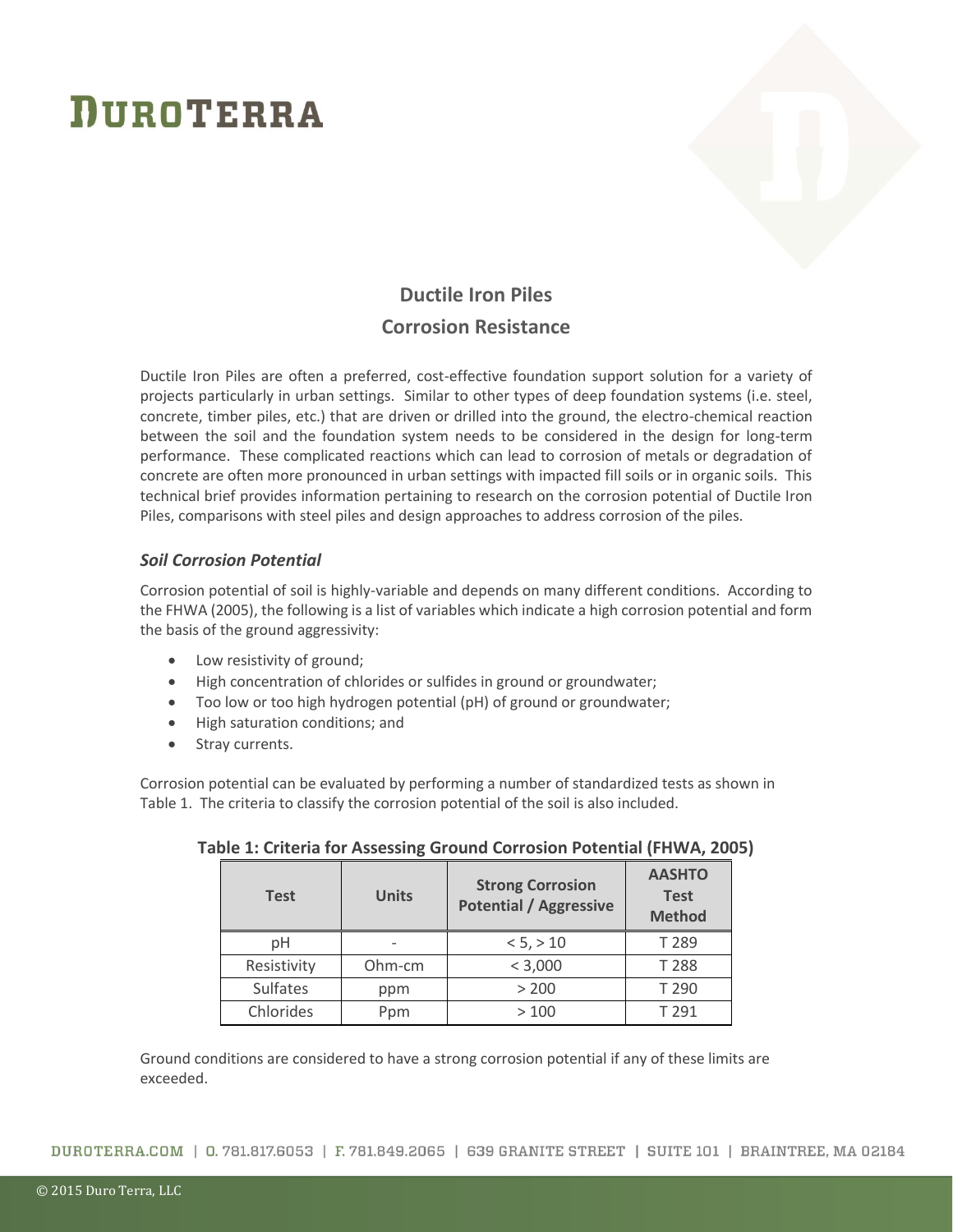

### **Ductile Iron Piles Corrosion Resistance**

Ductile Iron Piles are often a preferred, cost-effective foundation support solution for a variety of projects particularly in urban settings. Similar to other types of deep foundation systems (i.e. steel, concrete, timber piles, etc.) that are driven or drilled into the ground, the electro-chemical reaction between the soil and the foundation system needs to be considered in the design for long-term performance. These complicated reactions which can lead to corrosion of metals or degradation of concrete are often more pronounced in urban settings with impacted fill soils or in organic soils. This technical brief provides information pertaining to research on the corrosion potential of Ductile Iron Piles, comparisons with steel piles and design approaches to address corrosion of the piles.

### *Soil Corrosion Potential*

Corrosion potential of soil is highly-variable and depends on many different conditions. According to the FHWA (2005), the following is a list of variables which indicate a high corrosion potential and form the basis of the ground aggressivity:

- Low resistivity of ground;
- High concentration of chlorides or sulfides in ground or groundwater;
- Too low or too high hydrogen potential (pH) of ground or groundwater;
- High saturation conditions; and
- Stray currents.

Corrosion potential can be evaluated by performing a number of standardized tests as shown in Table 1. The criteria to classify the corrosion potential of the soil is also included.

| <b>Test</b>     | <b>Units</b> | <b>Strong Corrosion</b><br><b>Potential / Aggressive</b> | <b>AASHTO</b><br><b>Test</b><br><b>Method</b> |
|-----------------|--------------|----------------------------------------------------------|-----------------------------------------------|
| рH              |              | < 5, > 10                                                | T 289                                         |
| Resistivity     | Ohm-cm       | < 3,000                                                  | T 288                                         |
| <b>Sulfates</b> | ppm          | > 200                                                    | T 290                                         |
| Chlorides       | Ppm          | >100                                                     | T 291                                         |

### **Table 1: Criteria for Assessing Ground Corrosion Potential (FHWA, 2005)**

Ground conditions are considered to have a strong corrosion potential if any of these limits are exceeded.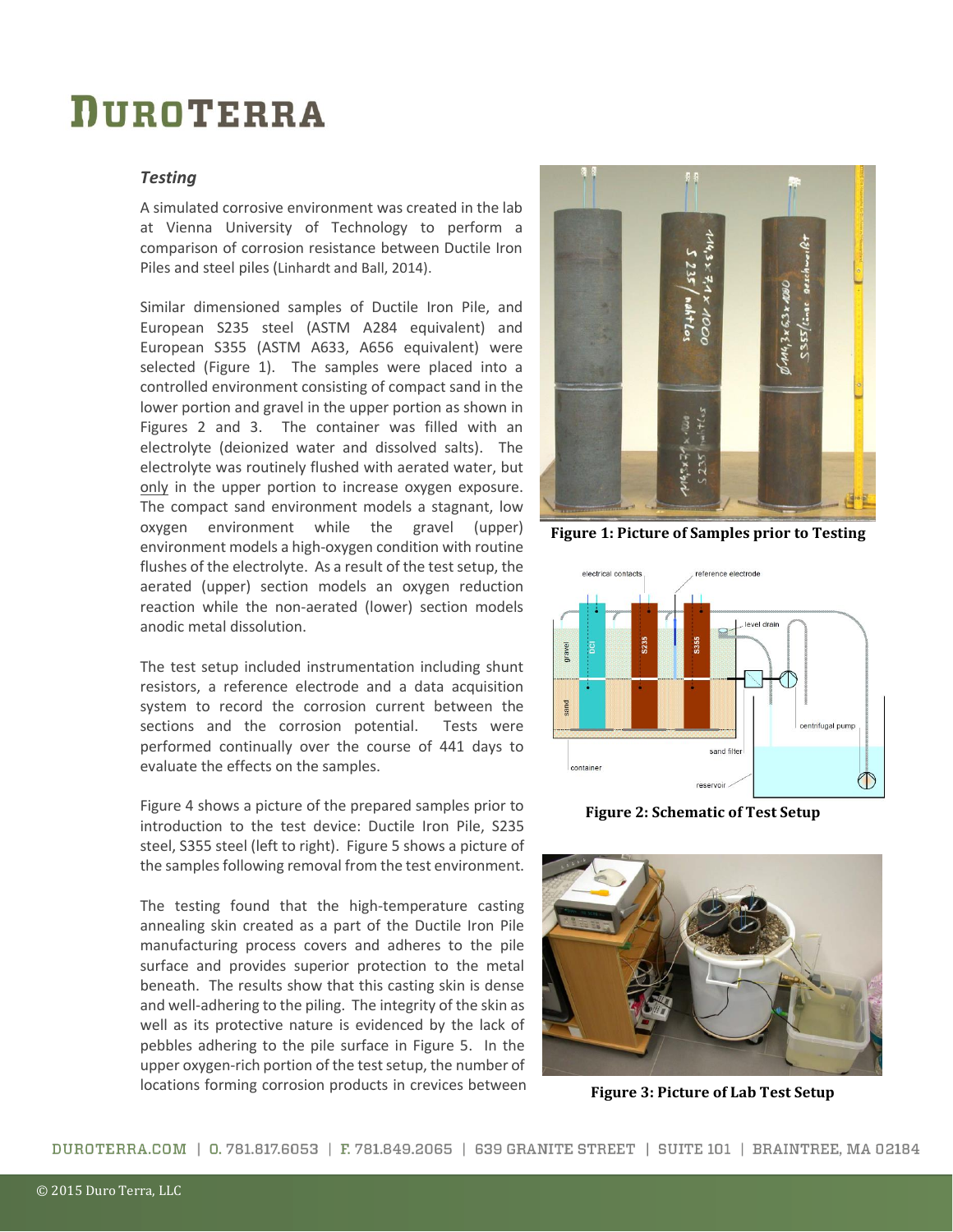#### *Testing*

A simulated corrosive environment was created in the lab at Vienna University of Technology to perform a comparison of corrosion resistance between Ductile Iron Piles and steel piles (Linhardt and Ball, 2014).

Similar dimensioned samples of Ductile Iron Pile, and European S235 steel (ASTM A284 equivalent) and European S355 (ASTM A633, A656 equivalent) were selected (Figure 1). The samples were placed into a controlled environment consisting of compact sand in the lower portion and gravel in the upper portion as shown in Figures 2 and 3. The container was filled with an electrolyte (deionized water and dissolved salts). The electrolyte was routinely flushed with aerated water, but only in the upper portion to increase oxygen exposure. The compact sand environment models a stagnant, low oxygen environment while the gravel (upper) environment models a high-oxygen condition with routine flushes of the electrolyte. As a result of the test setup, the aerated (upper) section models an oxygen reduction reaction while the non-aerated (lower) section models anodic metal dissolution.

The test setup included instrumentation including shunt resistors, a reference electrode and a data acquisition system to record the corrosion current between the sections and the corrosion potential. Tests were performed continually over the course of 441 days to evaluate the effects on the samples.

Figure 4 shows a picture of the prepared samples prior to introduction to the test device: Ductile Iron Pile, S235 steel, S355 steel (left to right). Figure 5 shows a picture of the samples following removal from the test environment.

The testing found that the high-temperature casting annealing skin created as a part of the Ductile Iron Pile manufacturing process covers and adheres to the pile surface and provides superior protection to the metal beneath. The results show that this casting skin is dense and well-adhering to the piling. The integrity of the skin as well as its protective nature is evidenced by the lack of pebbles adhering to the pile surface in Figure 5. In the upper oxygen-rich portion of the test setup, the number of locations forming corrosion products in crevices between



**Figure 1: Picture of Samples prior to Testing**



**Figure 2: Schematic of Test Setup**



**Figure 3: Picture of Lab Test Setup**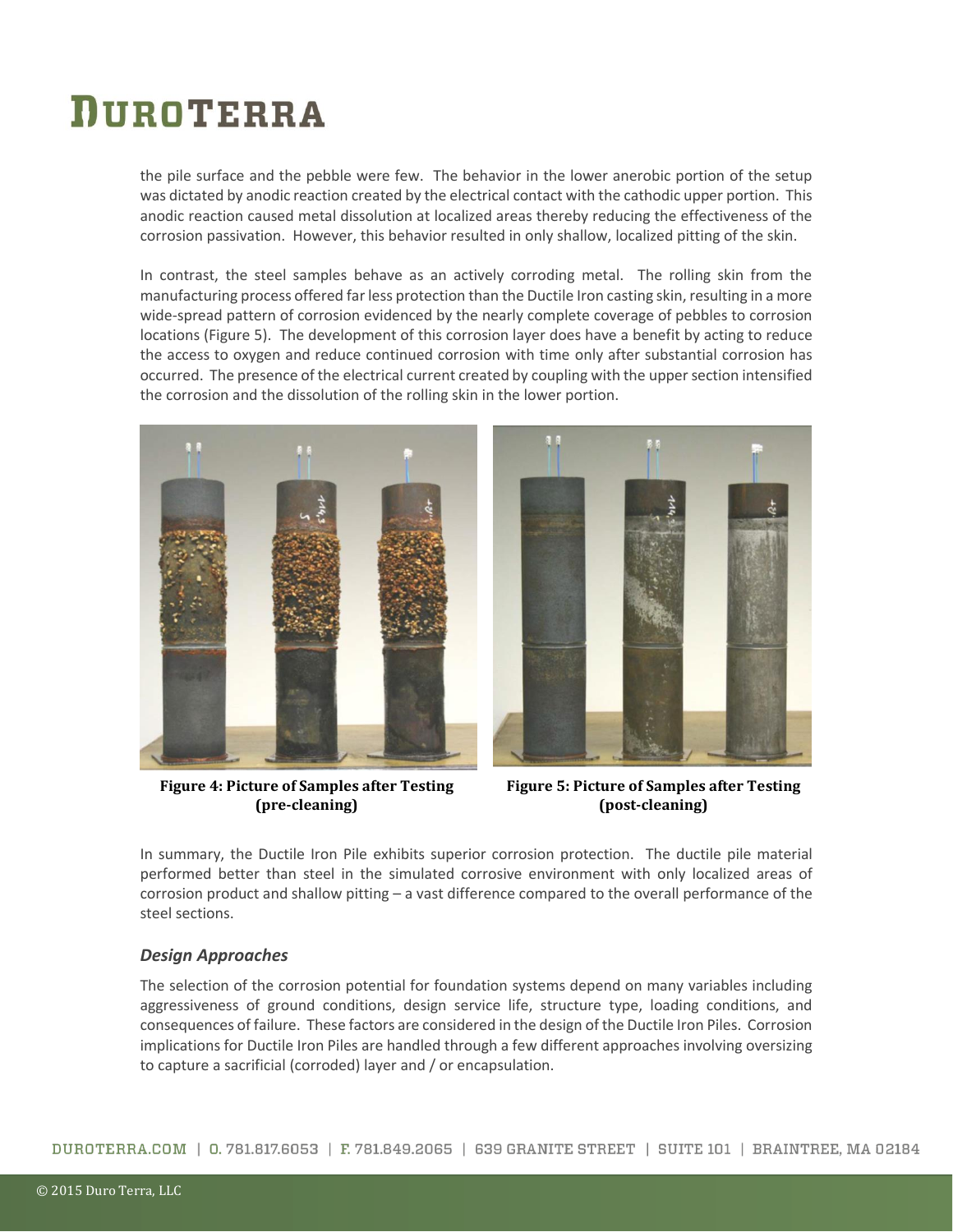the pile surface and the pebble were few. The behavior in the lower anerobic portion of the setup was dictated by anodic reaction created by the electrical contact with the cathodic upper portion. This anodic reaction caused metal dissolution at localized areas thereby reducing the effectiveness of the corrosion passivation. However, this behavior resulted in only shallow, localized pitting of the skin.

In contrast, the steel samples behave as an actively corroding metal. The rolling skin from the manufacturing process offered far less protection than the Ductile Iron casting skin, resulting in a more wide-spread pattern of corrosion evidenced by the nearly complete coverage of pebbles to corrosion locations (Figure 5). The development of this corrosion layer does have a benefit by acting to reduce the access to oxygen and reduce continued corrosion with time only after substantial corrosion has occurred. The presence of the electrical current created by coupling with the upper section intensified the corrosion and the dissolution of the rolling skin in the lower portion.



**Figure 4: Picture of Samples after Testing (pre-cleaning)**



**Figure 5: Picture of Samples after Testing (post-cleaning)**

In summary, the Ductile Iron Pile exhibits superior corrosion protection. The ductile pile material performed better than steel in the simulated corrosive environment with only localized areas of corrosion product and shallow pitting – a vast difference compared to the overall performance of the steel sections.

#### *Design Approaches*

The selection of the corrosion potential for foundation systems depend on many variables including aggressiveness of ground conditions, design service life, structure type, loading conditions, and consequences of failure. These factors are considered in the design of the Ductile Iron Piles. Corrosion implications for Ductile Iron Piles are handled through a few different approaches involving oversizing to capture a sacrificial (corroded) layer and / or encapsulation.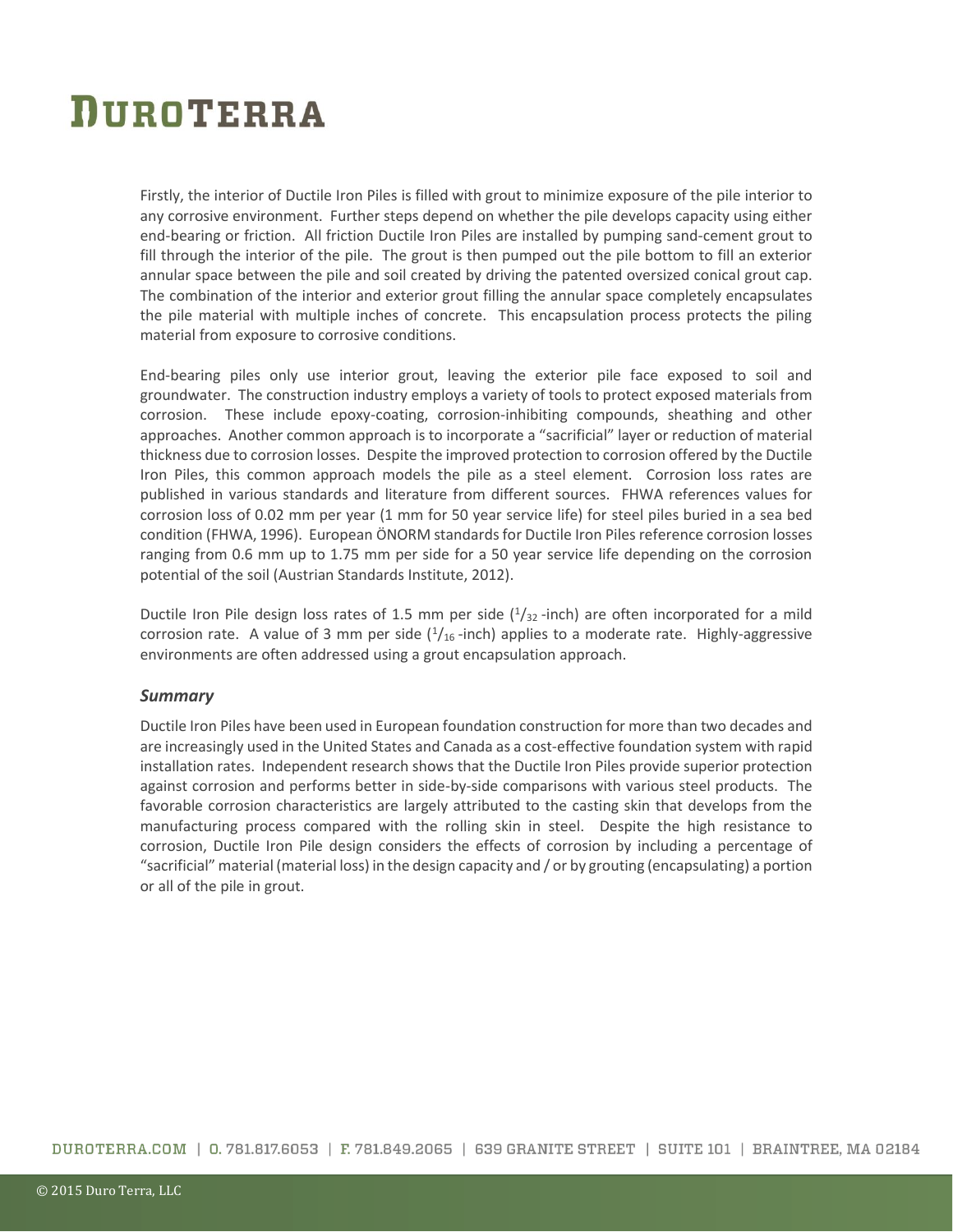Firstly, the interior of Ductile Iron Piles is filled with grout to minimize exposure of the pile interior to any corrosive environment. Further steps depend on whether the pile develops capacity using either end-bearing or friction. All friction Ductile Iron Piles are installed by pumping sand-cement grout to fill through the interior of the pile. The grout is then pumped out the pile bottom to fill an exterior annular space between the pile and soil created by driving the patented oversized conical grout cap. The combination of the interior and exterior grout filling the annular space completely encapsulates the pile material with multiple inches of concrete. This encapsulation process protects the piling material from exposure to corrosive conditions.

End-bearing piles only use interior grout, leaving the exterior pile face exposed to soil and groundwater. The construction industry employs a variety of tools to protect exposed materials from corrosion. These include epoxy-coating, corrosion-inhibiting compounds, sheathing and other approaches. Another common approach is to incorporate a "sacrificial" layer or reduction of material thickness due to corrosion losses. Despite the improved protection to corrosion offered by the Ductile Iron Piles, this common approach models the pile as a steel element. Corrosion loss rates are published in various standards and literature from different sources. FHWA references values for corrosion loss of 0.02 mm per year (1 mm for 50 year service life) for steel piles buried in a sea bed condition (FHWA, 1996). European ÖNORM standards for Ductile Iron Piles reference corrosion losses ranging from 0.6 mm up to 1.75 mm per side for a 50 year service life depending on the corrosion potential of the soil (Austrian Standards Institute, 2012).

Ductile Iron Pile design loss rates of 1.5 mm per side  $(^{1}/_{32}$ -inch) are often incorporated for a mild corrosion rate. A value of 3 mm per side  $(1/_{16}$ -inch) applies to a moderate rate. Highly-aggressive environments are often addressed using a grout encapsulation approach.

#### *Summary*

Ductile Iron Piles have been used in European foundation construction for more than two decades and are increasingly used in the United States and Canada as a cost-effective foundation system with rapid installation rates. Independent research shows that the Ductile Iron Piles provide superior protection against corrosion and performs better in side-by-side comparisons with various steel products. The favorable corrosion characteristics are largely attributed to the casting skin that develops from the manufacturing process compared with the rolling skin in steel. Despite the high resistance to corrosion, Ductile Iron Pile design considers the effects of corrosion by including a percentage of "sacrificial" material (material loss) in the design capacity and / or by grouting (encapsulating) a portion or all of the pile in grout.